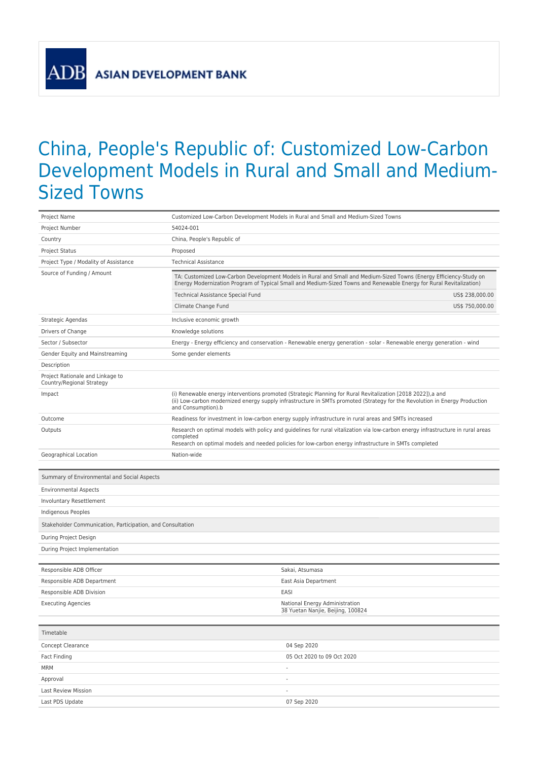**ASIAN DEVELOPMENT BANK** 

**ADB** 

## China, People's Republic of: Customized Low-Carbon Development Models in Rural and Small and Medium-Sized Towns

| Project Name                                                  |                                                                                                                                                                                                                                                                  | Customized Low-Carbon Development Models in Rural and Small and Medium-Sized Towns                                                                                                                                                        |                 |
|---------------------------------------------------------------|------------------------------------------------------------------------------------------------------------------------------------------------------------------------------------------------------------------------------------------------------------------|-------------------------------------------------------------------------------------------------------------------------------------------------------------------------------------------------------------------------------------------|-----------------|
| Project Number                                                | 54024-001                                                                                                                                                                                                                                                        |                                                                                                                                                                                                                                           |                 |
| Country                                                       | China, People's Republic of                                                                                                                                                                                                                                      |                                                                                                                                                                                                                                           |                 |
| <b>Project Status</b>                                         | Proposed                                                                                                                                                                                                                                                         |                                                                                                                                                                                                                                           |                 |
| Project Type / Modality of Assistance                         | <b>Technical Assistance</b>                                                                                                                                                                                                                                      |                                                                                                                                                                                                                                           |                 |
| Source of Funding / Amount                                    | TA: Customized Low-Carbon Development Models in Rural and Small and Medium-Sized Towns (Energy Efficiency-Study on<br>Energy Modernization Program of Typical Small and Medium-Sized Towns and Renewable Energy for Rural Revitalization)                        |                                                                                                                                                                                                                                           |                 |
|                                                               | Technical Assistance Special Fund                                                                                                                                                                                                                                |                                                                                                                                                                                                                                           | US\$ 238,000.00 |
|                                                               | Climate Change Fund                                                                                                                                                                                                                                              |                                                                                                                                                                                                                                           | US\$ 750,000.00 |
| Strategic Agendas                                             | Inclusive economic growth                                                                                                                                                                                                                                        |                                                                                                                                                                                                                                           |                 |
| Drivers of Change                                             | Knowledge solutions                                                                                                                                                                                                                                              |                                                                                                                                                                                                                                           |                 |
| Sector / Subsector                                            |                                                                                                                                                                                                                                                                  | Energy - Energy efficiency and conservation - Renewable energy generation - solar - Renewable energy generation - wind                                                                                                                    |                 |
| Gender Equity and Mainstreaming                               | Some gender elements                                                                                                                                                                                                                                             |                                                                                                                                                                                                                                           |                 |
| Description                                                   |                                                                                                                                                                                                                                                                  |                                                                                                                                                                                                                                           |                 |
| Project Rationale and Linkage to<br>Country/Regional Strategy |                                                                                                                                                                                                                                                                  |                                                                                                                                                                                                                                           |                 |
| Impact                                                        | (i) Renewable energy interventions promoted (Strategic Planning for Rural Revitalization [2018 2022]), a and<br>(ii) Low-carbon modernized energy supply infrastructure in SMTs promoted (Strategy for the Revolution in Energy Production<br>and Consumption).b |                                                                                                                                                                                                                                           |                 |
| Outcome                                                       |                                                                                                                                                                                                                                                                  | Readiness for investment in low-carbon energy supply infrastructure in rural areas and SMTs increased                                                                                                                                     |                 |
| Outputs                                                       | completed                                                                                                                                                                                                                                                        | Research on optimal models with policy and guidelines for rural vitalization via low-carbon energy infrastructure in rural areas<br>Research on optimal models and needed policies for low-carbon energy infrastructure in SMTs completed |                 |
| Geographical Location                                         | Nation-wide                                                                                                                                                                                                                                                      |                                                                                                                                                                                                                                           |                 |
|                                                               |                                                                                                                                                                                                                                                                  |                                                                                                                                                                                                                                           |                 |
|                                                               |                                                                                                                                                                                                                                                                  |                                                                                                                                                                                                                                           |                 |
| Summary of Environmental and Social Aspects                   |                                                                                                                                                                                                                                                                  |                                                                                                                                                                                                                                           |                 |
| <b>Environmental Aspects</b>                                  |                                                                                                                                                                                                                                                                  |                                                                                                                                                                                                                                           |                 |
| Involuntary Resettlement                                      |                                                                                                                                                                                                                                                                  |                                                                                                                                                                                                                                           |                 |
| Indigenous Peoples                                            |                                                                                                                                                                                                                                                                  |                                                                                                                                                                                                                                           |                 |
| Stakeholder Communication, Participation, and Consultation    |                                                                                                                                                                                                                                                                  |                                                                                                                                                                                                                                           |                 |
| During Project Design                                         |                                                                                                                                                                                                                                                                  |                                                                                                                                                                                                                                           |                 |
| During Project Implementation                                 |                                                                                                                                                                                                                                                                  |                                                                                                                                                                                                                                           |                 |
|                                                               |                                                                                                                                                                                                                                                                  |                                                                                                                                                                                                                                           |                 |
| Responsible ADB Officer                                       |                                                                                                                                                                                                                                                                  | Sakai, Atsumasa                                                                                                                                                                                                                           |                 |
| Responsible ADB Department                                    |                                                                                                                                                                                                                                                                  | East Asia Department                                                                                                                                                                                                                      |                 |
| Responsible ADB Division                                      |                                                                                                                                                                                                                                                                  | EASI                                                                                                                                                                                                                                      |                 |
| <b>Executing Agencies</b>                                     |                                                                                                                                                                                                                                                                  | National Energy Administration<br>38 Yuetan Nanjie, Beijing, 100824                                                                                                                                                                       |                 |
|                                                               |                                                                                                                                                                                                                                                                  |                                                                                                                                                                                                                                           |                 |
| Timetable                                                     |                                                                                                                                                                                                                                                                  |                                                                                                                                                                                                                                           |                 |
| Concept Clearance                                             |                                                                                                                                                                                                                                                                  | 04 Sep 2020                                                                                                                                                                                                                               |                 |
| Fact Finding                                                  |                                                                                                                                                                                                                                                                  | 05 Oct 2020 to 09 Oct 2020                                                                                                                                                                                                                |                 |
| MRM                                                           |                                                                                                                                                                                                                                                                  | Ξ                                                                                                                                                                                                                                         |                 |
| Approval                                                      |                                                                                                                                                                                                                                                                  |                                                                                                                                                                                                                                           |                 |
| Last Review Mission<br>Last PDS Update                        |                                                                                                                                                                                                                                                                  | ÷,<br>07 Sep 2020                                                                                                                                                                                                                         |                 |